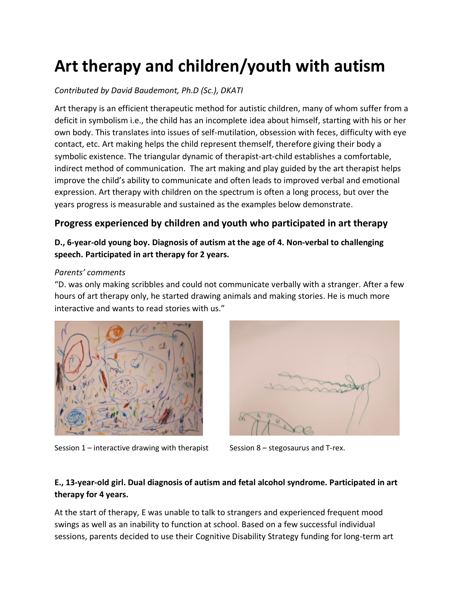# **Art therapy and children/youth with autism**

# *Contributed by David Baudemont, Ph.D (Sc.), DKATI*

Art therapy is an efficient therapeutic method for autistic children, many of whom suffer from a deficit in symbolism i.e., the child has an incomplete idea about himself, starting with his or her own body. This translates into issues of self-mutilation, obsession with feces, difficulty with eye contact, etc. Art making helps the child represent themself, therefore giving their body a symbolic existence. The triangular dynamic of therapist-art-child establishes a comfortable, indirect method of communication. The art making and play guided by the art therapist helps improve the child's ability to communicate and often leads to improved verbal and emotional expression. Art therapy with children on the spectrum is often a long process, but over the years progress is measurable and sustained as the examples below demonstrate.

# **Progress experienced by children and youth who participated in art therapy**

## **D., 6-year-old young boy. Diagnosis of autism at the age of 4. Non-verbal to challenging speech. Participated in art therapy for 2 years.**

#### *Parents' comments*

"D. was only making scribbles and could not communicate verbally with a stranger. After a few hours of art therapy only, he started drawing animals and making stories. He is much more interactive and wants to read stories with us."



Session  $1$  – interactive drawing with therapist Session 8 – stegosaurus and T-rex.



# **E., 13-year-old girl. Dual diagnosis of autism and fetal alcohol syndrome. Participated in art therapy for 4 years.**

At the start of therapy, E was unable to talk to strangers and experienced frequent mood swings as well as an inability to function at school. Based on a few successful individual sessions, parents decided to use their Cognitive Disability Strategy funding for long-term art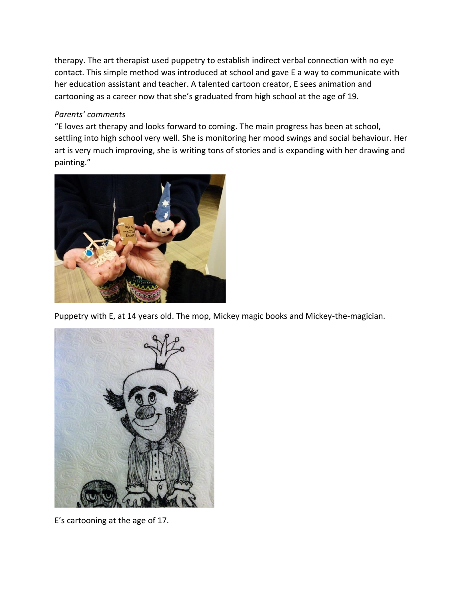therapy. The art therapist used puppetry to establish indirect verbal connection with no eye contact. This simple method was introduced at school and gave E a way to communicate with her education assistant and teacher. A talented cartoon creator, E sees animation and cartooning as a career now that she's graduated from high school at the age of 19.

#### *Parents' comments*

"E loves art therapy and looks forward to coming. The main progress has been at school, settling into high school very well. She is monitoring her mood swings and social behaviour. Her art is very much improving, she is writing tons of stories and is expanding with her drawing and painting."



Puppetry with E, at 14 years old. The mop, Mickey magic books and Mickey-the-magician.



E's cartooning at the age of 17.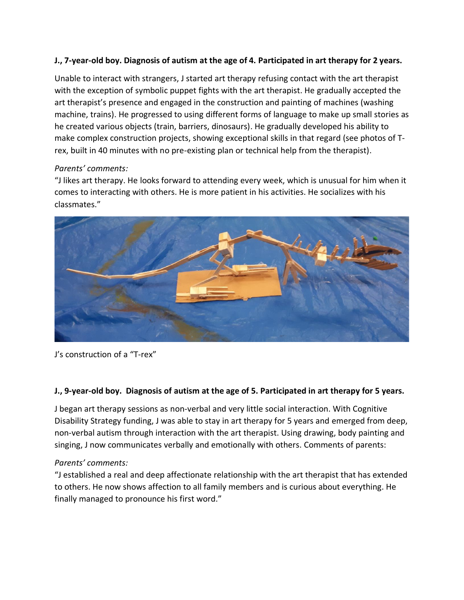#### **J., 7-year-old boy. Diagnosis of autism at the age of 4. Participated in art therapy for 2 years.**

Unable to interact with strangers, J started art therapy refusing contact with the art therapist with the exception of symbolic puppet fights with the art therapist. He gradually accepted the art therapist's presence and engaged in the construction and painting of machines (washing machine, trains). He progressed to using different forms of language to make up small stories as he created various objects (train, barriers, dinosaurs). He gradually developed his ability to make complex construction projects, showing exceptional skills in that regard (see photos of Trex, built in 40 minutes with no pre-existing plan or technical help from the therapist).

#### *Parents' comments:*

"J likes art therapy. He looks forward to attending every week, which is unusual for him when it comes to interacting with others. He is more patient in his activities. He socializes with his classmates."



J's construction of a "T-rex"

#### **J., 9-year-old boy. Diagnosis of autism at the age of 5. Participated in art therapy for 5 years.**

J began art therapy sessions as non-verbal and very little social interaction. With Cognitive Disability Strategy funding, J was able to stay in art therapy for 5 years and emerged from deep, non-verbal autism through interaction with the art therapist. Using drawing, body painting and singing, J now communicates verbally and emotionally with others. Comments of parents:

#### *Parents' comments:*

"J established a real and deep affectionate relationship with the art therapist that has extended to others. He now shows affection to all family members and is curious about everything. He finally managed to pronounce his first word."